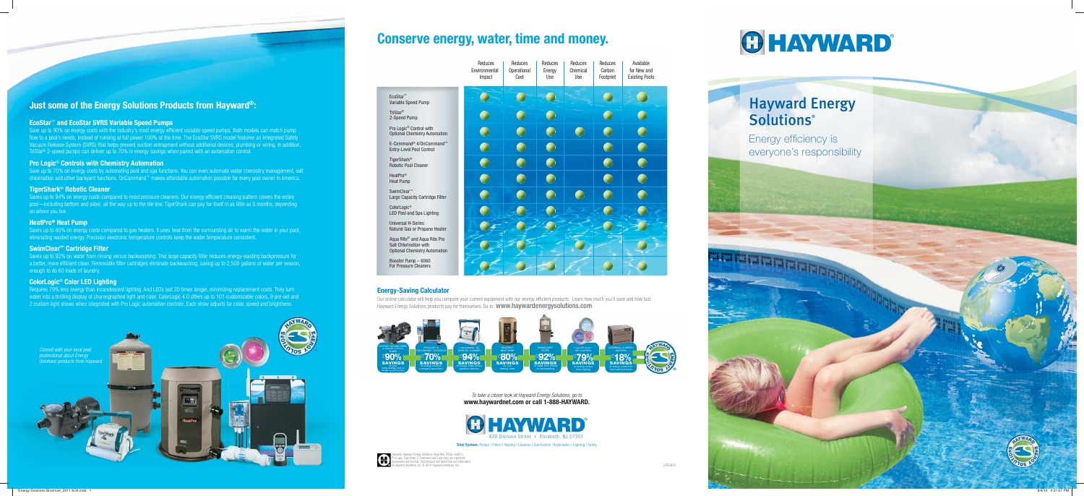

 $\bigoplus$ Hayward, Hayward Energy Solutions, Aqua Rite, TriStar, HeatPro, Pro Logic, TigerShark, E-Command and ColorLogic are registered trademarks and EcoStar, OnCommand and SwimClear are trademarks of Hayward Industries, Inc. © 2010 Hayward Industries, Inc.

# Hayward Energy **Solutions®**

Energy efficiency is everyone's responsibility

Save up to 90% on energy costs with the industry's most energy efficient variable speed pumps. Both models can match pump flow to a pool's needs, instead of running at full power 100% of the time. The EcoStar SVRS model features an integrated Safety Vacuum Release System (SVRS) that helps prevent suction entrapment without additional devices, plumbing or wiring. In addition, TriStar® 2-speed pumps can deliver up to 70% in energy savings when paired with an automation control.







Saves up to 94% on energy costs compared to most pressure cleaners. Our energy efficient cleaning pattern covers the entire pool—including bottom and sides, all the way up to the tile line. TigerShark can pay for itself in as little as 6 months, depending on where you live.

> To take a closer look at Hayward Energy Solutions, go to **www.haywardnet.com or call 1-888-HAYWARD.**







Saves up to 92% on water from rinsing versus backwashing. This large capacity filter reduces energy-wasting backpressure for a better, more efficient clean. Removable filter cartridges eliminate backwashing, saving up to 2,500 gallons of water per season, enough to do 60 loads of laundry.

### **Just some of the Energy Solutions Products from Hayward®:**

#### **EcoStar**™ **and EcoStar SVRS Variable Speed Pumps**

#### **Pro Logic**® **Controls with Chemistry Automation**

Save up to 70% on energy costs by automating pool and spa functions. You can even automate water chemistry management, salt chlorination and other backyard functions. OnCommand™ makes affordable automation possible for every pool owner in America.

#### **TigerShark**® **Robotic Cleaner**

#### **HeatPro® Heat Pump**

Saves up to 80% on energy costs compared to gas heaters. It uses heat from the surrounding air to warm the water in your pool, eliminating wasted energy. Precision electronic temperature controls keep the water temperature consistent.

#### **SwimClear™ Cartridge Filter**

#### **ColorLogic**® **Color LED Lighting**

Requires 79% less energy than incandescent lighting. And LEDs last 20 times longer, minimizing replacement costs. They turn water into a thrilling display of choreographed light and color. ColorLogic 4.0 offers up to 101 customizable colors, 9 pre-set and 2 custom light shows when integrated with Pro Logic automation controls. Each show adjusts for color, speed and brightness.



EcoStar™

TriStar® 2-Speed Pump

TigerShark®

HeatPro® Heat Pump SwimClear™

ColorLogic®

Our online calculator will help you compare your current equipment with our energy efficient products. Learn how much you'll save and how fast Hayward Energy Solutions products pay for themselves. Go to: www.haywardenergysolutions.com



#### **Energy-Saving Calculator**

### **Conserve energy, water, time and money.**